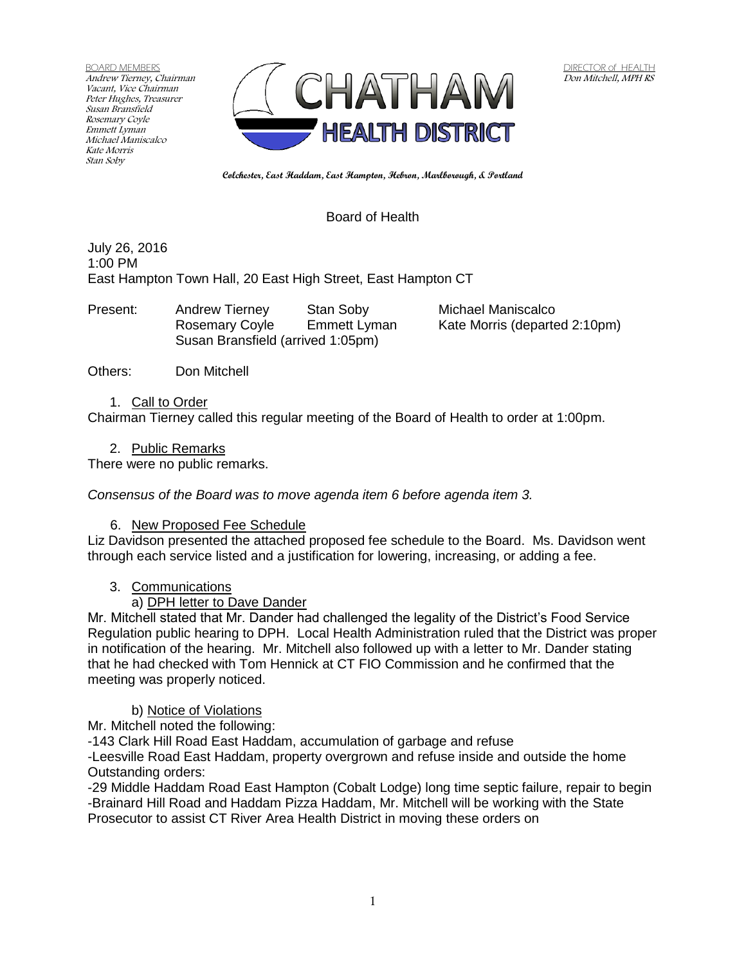BOARD MEMBERS Andrew Tierney, Chairman Vacant, Vice Chairman Peter Hughes, Treasurer Susan Bransfield Rosemary Coyle Emmett Lyman Michael Maniscalco Kate Morris Stan Soby



**Colchester, East Haddam, East Hampton, Hebron, Marlborough, & Portland**

## Board of Health

July 26, 2016 1:00 PM East Hampton Town Hall, 20 East High Street, East Hampton CT

Present: Andrew Tierney Stan Soby Michael Maniscalco Rosemary Coyle Emmett Lyman Kate Morris (departed 2:10pm) Susan Bransfield (arrived 1:05pm)

Others: Don Mitchell

#### 1. Call to Order

Chairman Tierney called this regular meeting of the Board of Health to order at 1:00pm.

#### 2. Public Remarks

There were no public remarks.

*Consensus of the Board was to move agenda item 6 before agenda item 3.*

## 6. New Proposed Fee Schedule

Liz Davidson presented the attached proposed fee schedule to the Board. Ms. Davidson went through each service listed and a justification for lowering, increasing, or adding a fee.

## 3. Communications

## a) DPH letter to Dave Dander

Mr. Mitchell stated that Mr. Dander had challenged the legality of the District's Food Service Regulation public hearing to DPH. Local Health Administration ruled that the District was proper in notification of the hearing. Mr. Mitchell also followed up with a letter to Mr. Dander stating that he had checked with Tom Hennick at CT FIO Commission and he confirmed that the meeting was properly noticed.

## b) Notice of Violations

Mr. Mitchell noted the following:

-143 Clark Hill Road East Haddam, accumulation of garbage and refuse

-Leesville Road East Haddam, property overgrown and refuse inside and outside the home Outstanding orders:

-29 Middle Haddam Road East Hampton (Cobalt Lodge) long time septic failure, repair to begin -Brainard Hill Road and Haddam Pizza Haddam, Mr. Mitchell will be working with the State Prosecutor to assist CT River Area Health District in moving these orders on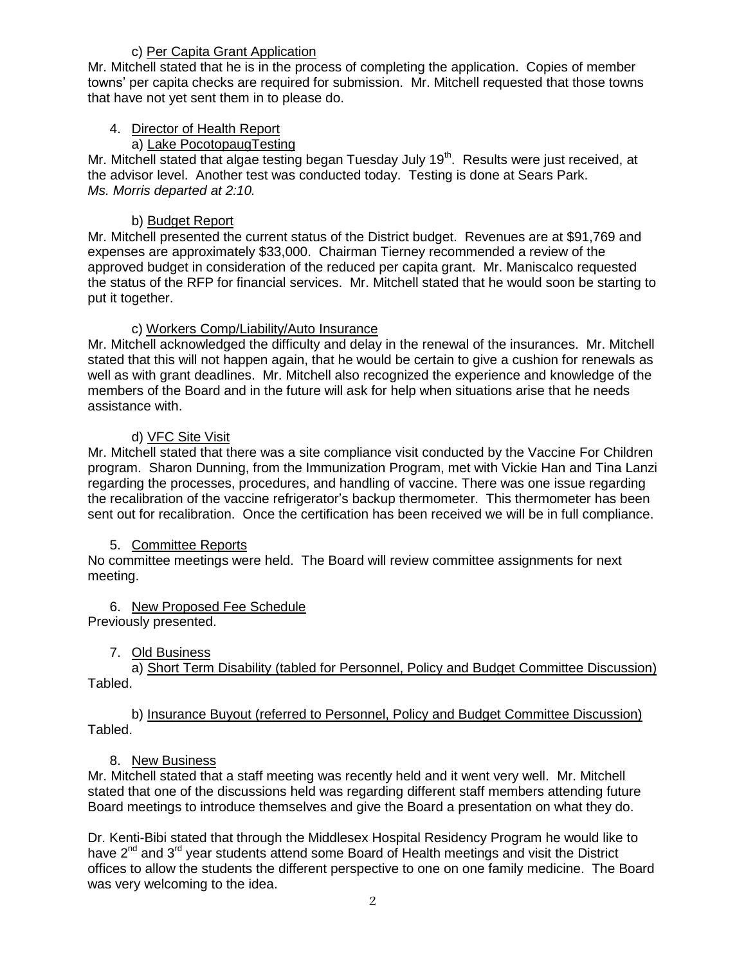# c) Per Capita Grant Application

Mr. Mitchell stated that he is in the process of completing the application. Copies of member towns' per capita checks are required for submission. Mr. Mitchell requested that those towns that have not yet sent them in to please do.

## 4. Director of Health Report

# a) Lake PocotopaugTesting

Mr. Mitchell stated that algae testing began Tuesday July 19<sup>th</sup>. Results were just received, at the advisor level. Another test was conducted today. Testing is done at Sears Park. *Ms. Morris departed at 2:10.*

# b) Budget Report

Mr. Mitchell presented the current status of the District budget. Revenues are at \$91,769 and expenses are approximately \$33,000. Chairman Tierney recommended a review of the approved budget in consideration of the reduced per capita grant. Mr. Maniscalco requested the status of the RFP for financial services. Mr. Mitchell stated that he would soon be starting to put it together.

## c) Workers Comp/Liability/Auto Insurance

Mr. Mitchell acknowledged the difficulty and delay in the renewal of the insurances. Mr. Mitchell stated that this will not happen again, that he would be certain to give a cushion for renewals as well as with grant deadlines. Mr. Mitchell also recognized the experience and knowledge of the members of the Board and in the future will ask for help when situations arise that he needs assistance with.

## d) VFC Site Visit

Mr. Mitchell stated that there was a site compliance visit conducted by the Vaccine For Children program. Sharon Dunning, from the Immunization Program, met with Vickie Han and Tina Lanzi regarding the processes, procedures, and handling of vaccine. There was one issue regarding the recalibration of the vaccine refrigerator's backup thermometer. This thermometer has been sent out for recalibration. Once the certification has been received we will be in full compliance.

## 5. Committee Reports

No committee meetings were held. The Board will review committee assignments for next meeting.

# 6. New Proposed Fee Schedule

Previously presented.

## 7. Old Business

a) Short Term Disability (tabled for Personnel, Policy and Budget Committee Discussion) Tabled.

## b) Insurance Buyout (referred to Personnel, Policy and Budget Committee Discussion) Tabled.

## 8. New Business

Mr. Mitchell stated that a staff meeting was recently held and it went very well. Mr. Mitchell stated that one of the discussions held was regarding different staff members attending future Board meetings to introduce themselves and give the Board a presentation on what they do.

Dr. Kenti-Bibi stated that through the Middlesex Hospital Residency Program he would like to have 2<sup>nd</sup> and 3<sup>rd</sup> year students attend some Board of Health meetings and visit the District offices to allow the students the different perspective to one on one family medicine. The Board was very welcoming to the idea.